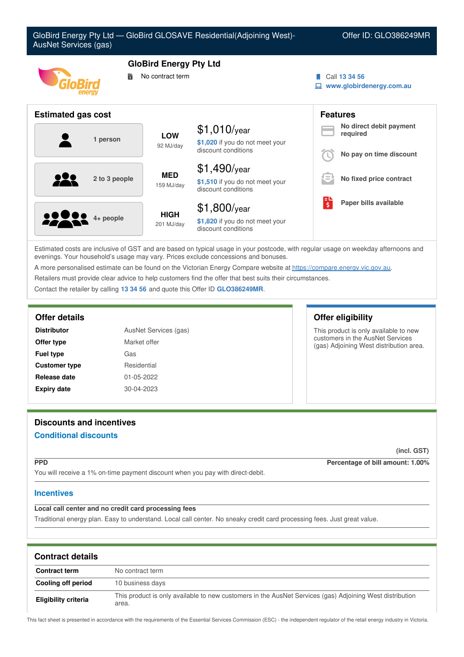

Estimated costs are inclusive of GST and are based on typical usage in your postcode, with regular usage on weekday afternoons and evenings. Your household's usage may vary. Prices exclude concessions and bonuses.

A more personalised estimate can be found on the Victorian Energy Compare website at <https://compare.energy.vic.gov.au>.

Retailers must provide clear advice to help customers find the offer that best suits their circumstances.

Contact the retailer by calling **13 34 56** and quote this Offer ID **GLO386249MR**.

| AusNet Services (gas)<br><b>Distributor</b> |              |
|---------------------------------------------|--------------|
| Offer type                                  | Market offer |
| <b>Fuel type</b>                            | Gas          |
| <b>Customer type</b>                        | Residential  |
| Release date                                | 01-05-2022   |
| <b>Expiry date</b>                          | 30-04-2023   |

## **Offer details Offer eligibility**

This product is only available to new customers in the AusNet Services (gas) Adjoining West distribution area.

# **Discounts and incentives Conditional discounts**

**(incl. GST)**

**PPD Percentage of bill amount: 1.00%**

You will receive a 1% on-time payment discount when you pay with direct-debit.

## **Incentives**

## **Local call center and no credit card processing fees**

Traditional energy plan. Easy to understand. Local call center. No sneaky credit card processing fees. Just great value.

| <b>Contract details</b> |                                                                                                                   |  |  |
|-------------------------|-------------------------------------------------------------------------------------------------------------------|--|--|
| <b>Contract term</b>    | No contract term                                                                                                  |  |  |
| Cooling off period      | 10 business days                                                                                                  |  |  |
| Eligibility criteria    | This product is only available to new customers in the AusNet Services (gas) Adjoining West distribution<br>area. |  |  |

This fact sheet is presented in accordance with the requirements of the Essential Services Commission (ESC) - the independent regulator of the retail energy industry in Victoria.